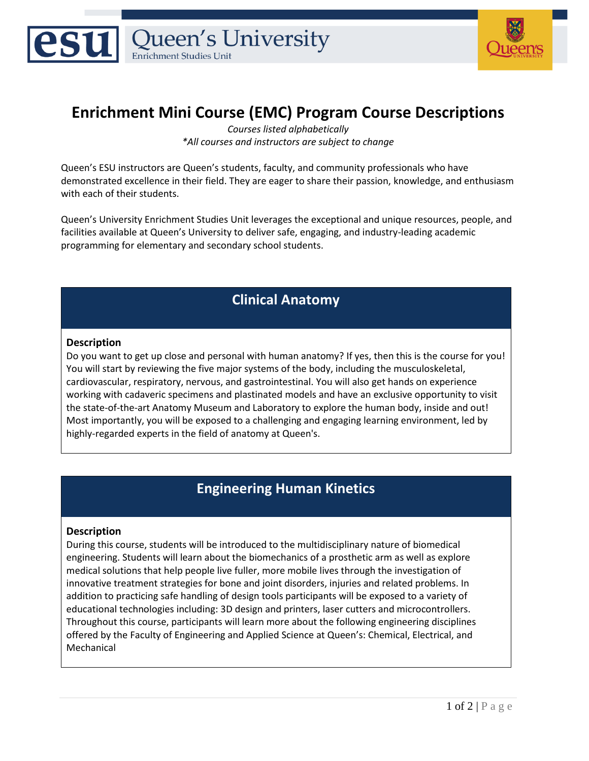



# **Enrichment Mini Course (EMC) Program Course Descriptions**

*Courses listed alphabetically \*All courses and instructors are subject to change*

Queen's ESU instructors are Queen's students, faculty, and community professionals who have demonstrated excellence in their field. They are eager to share their passion, knowledge, and enthusiasm with each of their students.

Queen's University Enrichment Studies Unit leverages the exceptional and unique resources, people, and facilities available at Queen's University to deliver safe, engaging, and industry-leading academic programming for elementary and secondary school students.

### **Clinical Anatomy**

#### **Description**

Do you want to get up close and personal with human anatomy? If yes, then this is the course for you! You will start by reviewing the five major systems of the body, including the musculoskeletal, cardiovascular, respiratory, nervous, and gastrointestinal. You will also get hands on experience working with cadaveric specimens and plastinated models and have an exclusive opportunity to visit the state-of-the-art Anatomy Museum and Laboratory to explore the human body, inside and out! Most importantly, you will be exposed to a challenging and engaging learning environment, led by highly-regarded experts in the field of anatomy at Queen's.

### **Engineering Human Kinetics**

#### **Description**

During this course, students will be introduced to the multidisciplinary nature of biomedical engineering. Students will learn about the biomechanics of a prosthetic arm as well as explore medical solutions that help people live fuller, more mobile lives through the investigation of innovative treatment strategies for bone and joint disorders, injuries and related problems. In addition to practicing safe handling of design tools participants will be exposed to a variety of educational technologies including: 3D design and printers, laser cutters and microcontrollers. Throughout this course, participants will learn more about the following engineering disciplines offered by the Faculty of Engineering and Applied Science at Queen's: Chemical, Electrical, and Mechanical